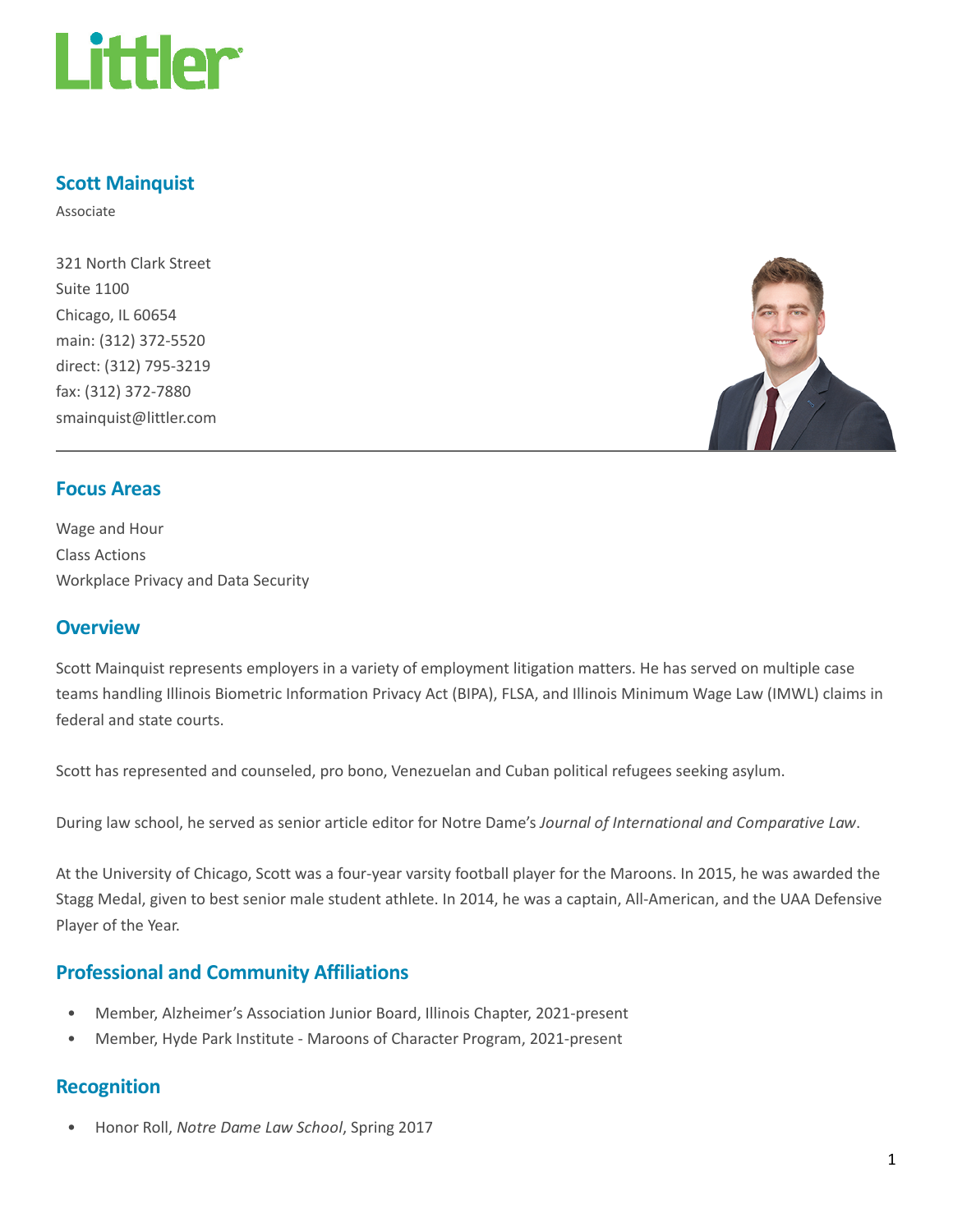

### Scott Mainquist

Associate

321 North Clark Street Suite 1100 Chicago, IL 60654 main: (312) 372-5520 direct: (312) 795-3219 fax: (312) 372-7880 smainquist@littler.com



#### Focus Areas

Wage and Hour Class Actions Workplace Privacy and Data Security

#### **Overview**

Scott Mainquist represents employers in a variety of employment litigation matters. He has served on multiple case teams handling Illinois Biometric Information Privacy Act (BIPA), FLSA, and Illinois Minimum Wage Law (IMWL) claims in federal and state courts.

Scott has represented and counseled, pro bono, Venezuelan and Cuban political refugees seeking asylum.

During law school, he served as senior article editor for Notre Dame's Journal of International and Comparative Law.

At the University of Chicago, Scott was a four-year varsity football player for the Maroons. In 2015, he was awarded the Stagg Medal, given to best senior male student athlete. In 2014, he was a captain, All-American, and the UAA Defensive Player of the Year.

## Professional and Community Affiliations

- Member, Alzheimer's Association Junior Board, Illinois Chapter, 2021-present
- Member, Hyde Park Institute Maroons of Character Program, 2021-present

#### Recognition

• Honor Roll, Notre Dame Law School, Spring 2017